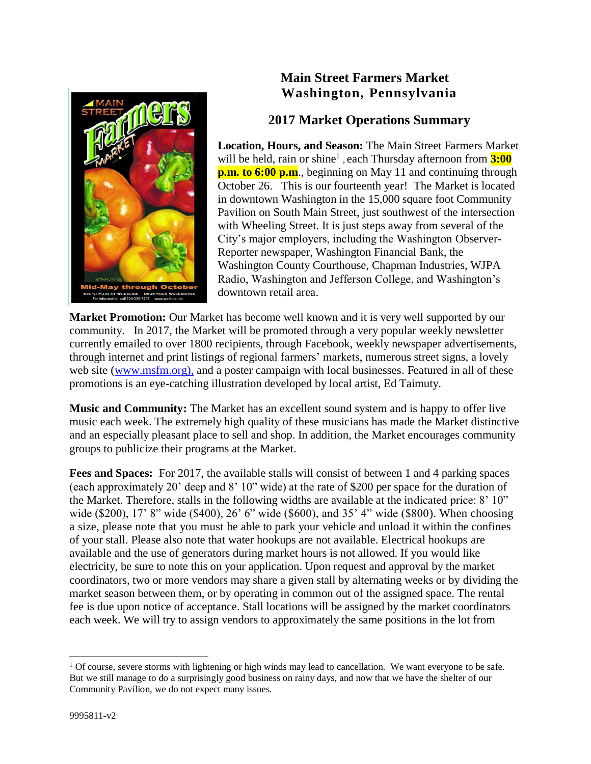

# **Main Street Farmers Market Washington, Pennsylvania**

## **2017 Market Operations Summary**

**Location, Hours, and Season:** The Main Street Farmers Market will be held, rain or shine<sup>1</sup>, each Thursday afternoon from **3:00 p.m. to 6:00 p.m.**, beginning on May 11 and continuing through October 26. This is our fourteenth year! The Market is located in downtown Washington in the 15,000 square foot Community Pavilion on South Main Street, just southwest of the intersection with Wheeling Street. It is just steps away from several of the City's major employers, including the Washington Observer-Reporter newspaper, Washington Financial Bank, the Washington County Courthouse, Chapman Industries, WJPA Radio, Washington and Jefferson College, and Washington's downtown retail area.

Market Promotion: Our Market has become well known and it is very well supported by our community. In 2017, the Market will be promoted through a very popular weekly newsletter currently emailed to over 1800 recipients, through Facebook, weekly newspaper advertisements, through internet and print listings of regional farmers' markets, numerous street signs, a lovely web site [\(www.msfm.org\),](http://www.washpa.net/FarmersMarket/FarmersMarket.htm),) and a poster campaign with local businesses. Featured in all of these promotions is an eye-catching illustration developed by local artist, Ed Taimuty.

**Music and Community:** The Market has an excellent sound system and is happy to offer live music each week. The extremely high quality of these musicians has made the Market distinctive and an especially pleasant place to sell and shop. In addition, the Market encourages community groups to publicize their programs at the Market.

**Fees and Spaces:** For 2017, the available stalls will consist of between 1 and 4 parking spaces (each approximately 20' deep and 8' 10" wide) at the rate of \$200 per space for the duration of the Market. Therefore, stalls in the following widths are available at the indicated price: 8' 10" wide (\$200), 17' 8" wide (\$400), 26' 6" wide (\$600), and 35' 4" wide (\$800). When choosing a size, please note that you must be able to park your vehicle and unload it within the confines of your stall. Please also note that water hookups are not available. Electrical hookups are available and the use of generators during market hours is not allowed. If you would like electricity, be sure to note this on your application. Upon request and approval by the market coordinators, two or more vendors may share a given stall by alternating weeks or by dividing the market season between them, or by operating in common out of the assigned space. The rental fee is due upon notice of acceptance. Stall locations will be assigned by the market coordinators each week. We will try to assign vendors to approximately the same positions in the lot from

 $\overline{a}$ 

 $1$  Of course, severe storms with lightening or high winds may lead to cancellation. We want everyone to be safe. But we still manage to do a surprisingly good business on rainy days, and now that we have the shelter of our Community Pavilion, we do not expect many issues.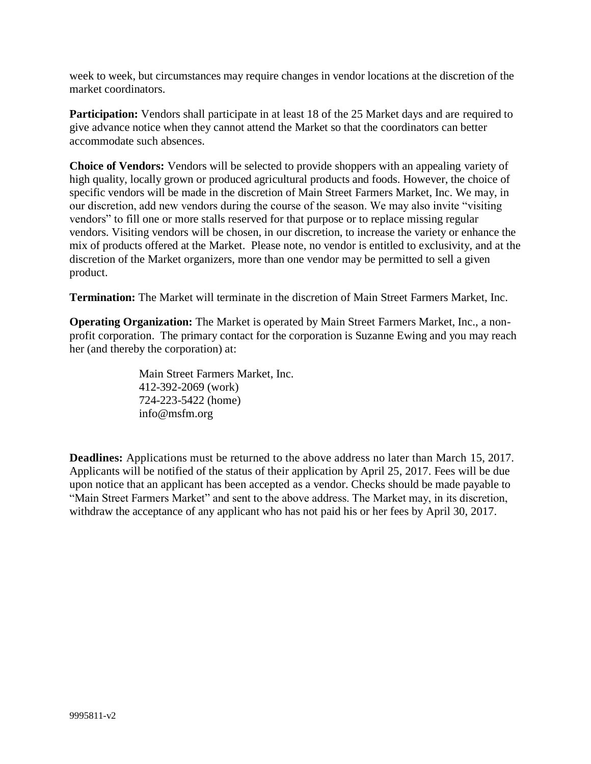week to week, but circumstances may require changes in vendor locations at the discretion of the market coordinators.

**Participation:** Vendors shall participate in at least 18 of the 25 Market days and are required to give advance notice when they cannot attend the Market so that the coordinators can better accommodate such absences.

**Choice of Vendors:** Vendors will be selected to provide shoppers with an appealing variety of high quality, locally grown or produced agricultural products and foods. However, the choice of specific vendors will be made in the discretion of Main Street Farmers Market, Inc. We may, in our discretion, add new vendors during the course of the season. We may also invite "visiting vendors" to fill one or more stalls reserved for that purpose or to replace missing regular vendors. Visiting vendors will be chosen, in our discretion, to increase the variety or enhance the mix of products offered at the Market. Please note, no vendor is entitled to exclusivity, and at the discretion of the Market organizers, more than one vendor may be permitted to sell a given product.

**Termination:** The Market will terminate in the discretion of Main Street Farmers Market, Inc.

**Operating Organization:** The Market is operated by Main Street Farmers Market, Inc., a nonprofit corporation. The primary contact for the corporation is Suzanne Ewing and you may reach her (and thereby the corporation) at:

> Main Street Farmers Market, Inc. 412-392-2069 (work) 724-223-5422 (home) info@msfm.org

**Deadlines:** Applications must be returned to the above address no later than March 15, 2017. Applicants will be notified of the status of their application by April 25, 2017. Fees will be due upon notice that an applicant has been accepted as a vendor. Checks should be made payable to "Main Street Farmers Market" and sent to the above address. The Market may, in its discretion, withdraw the acceptance of any applicant who has not paid his or her fees by April 30, 2017.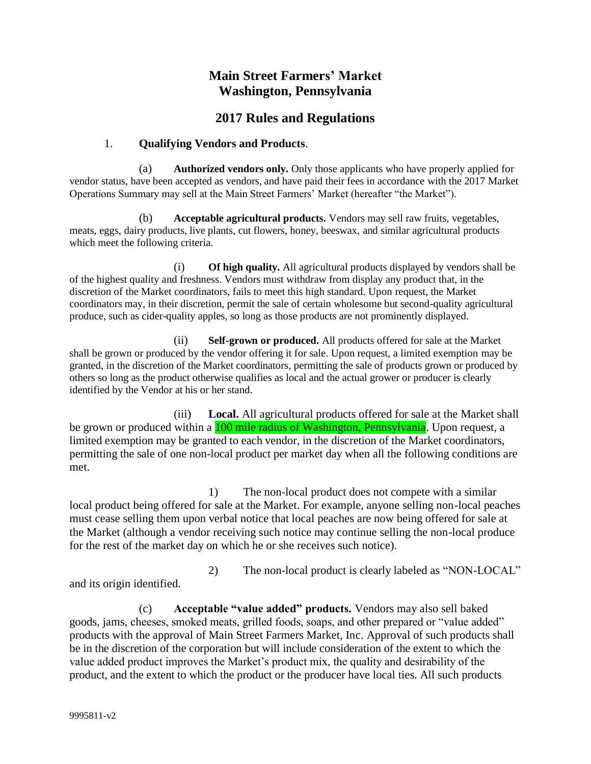## **Main Street Farmers' Market Washington, Pennsylvania**

### **2017 Rules and Regulations**

#### 1. **Qualifying Vendors and Products**.

(a) **Authorized vendors only.** Only those applicants who have properly applied for vendor status, have been accepted as vendors, and have paid their fees in accordance with the 2017 Market Operations Summary may sell at the Main Street Farmers' Market (hereafter "the Market").

(b) **Acceptable agricultural products.** Vendors may sell raw fruits, vegetables, meats, eggs, dairy products, live plants, cut flowers, honey, beeswax, and similar agricultural products which meet the following criteria.

(i) **Of high quality.** All agricultural products displayed by vendors shall be of the highest quality and freshness. Vendors must withdraw from display any product that, in the discretion of the Market coordinators, fails to meet this high standard. Upon request, the Market coordinators may, in their discretion, permit the sale of certain wholesome but second-quality agricultural produce, such as cider-quality apples, so long as those products are not prominently displayed.

(ii) **Self-grown or produced.** All products offered for sale at the Market shall be grown or produced by the vendor offering it for sale. Upon request, a limited exemption may be granted, in the discretion of the Market coordinators, permitting the sale of products grown or produced by others so long as the product otherwise qualifies as local and the actual grower or producer is clearly identified by the Vendor at his or her stand.

(iii) **Local.** All agricultural products offered for sale at the Market shall be grown or produced within a **100 mile radius of Washington, Pennsylvania**. Upon request, a limited exemption may be granted to each vendor, in the discretion of the Market coordinators, permitting the sale of one non-local product per market day when all the following conditions are met.

1) The non-local product does not compete with a similar local product being offered for sale at the Market. For example, anyone selling non-local peaches must cease selling them upon verbal notice that local peaches are now being offered for sale at the Market (although a vendor receiving such notice may continue selling the non-local produce for the rest of the market day on which he or she receives such notice).

2) The non-local product is clearly labeled as "NON-LOCAL" and its origin identified.

(c) **Acceptable "value added" products.** Vendors may also sell baked goods, jams, cheeses, smoked meats, grilled foods, soaps, and other prepared or "value added" products with the approval of Main Street Farmers Market, Inc. Approval of such products shall be in the discretion of the corporation but will include consideration of the extent to which the value added product improves the Market's product mix, the quality and desirability of the product, and the extent to which the product or the producer have local ties. All such products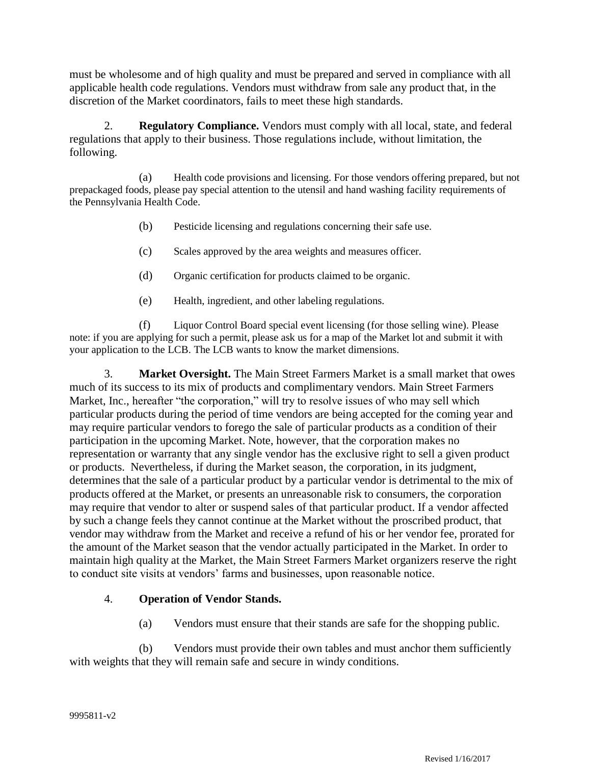must be wholesome and of high quality and must be prepared and served in compliance with all applicable health code regulations. Vendors must withdraw from sale any product that, in the discretion of the Market coordinators, fails to meet these high standards.

2. **Regulatory Compliance.** Vendors must comply with all local, state, and federal regulations that apply to their business. Those regulations include, without limitation, the following.

(a) Health code provisions and licensing. For those vendors offering prepared, but not prepackaged foods, please pay special attention to the utensil and hand washing facility requirements of the Pennsylvania Health Code.

- (b) Pesticide licensing and regulations concerning their safe use.
- (c) Scales approved by the area weights and measures officer.
- (d) Organic certification for products claimed to be organic.
- (e) Health, ingredient, and other labeling regulations.

(f) Liquor Control Board special event licensing (for those selling wine). Please note: if you are applying for such a permit, please ask us for a map of the Market lot and submit it with your application to the LCB. The LCB wants to know the market dimensions.

3. **Market Oversight.** The Main Street Farmers Market is a small market that owes much of its success to its mix of products and complimentary vendors. Main Street Farmers Market, Inc., hereafter "the corporation," will try to resolve issues of who may sell which particular products during the period of time vendors are being accepted for the coming year and may require particular vendors to forego the sale of particular products as a condition of their participation in the upcoming Market. Note, however, that the corporation makes no representation or warranty that any single vendor has the exclusive right to sell a given product or products. Nevertheless, if during the Market season, the corporation, in its judgment, determines that the sale of a particular product by a particular vendor is detrimental to the mix of products offered at the Market, or presents an unreasonable risk to consumers, the corporation may require that vendor to alter or suspend sales of that particular product. If a vendor affected by such a change feels they cannot continue at the Market without the proscribed product, that vendor may withdraw from the Market and receive a refund of his or her vendor fee, prorated for the amount of the Market season that the vendor actually participated in the Market. In order to maintain high quality at the Market, the Main Street Farmers Market organizers reserve the right to conduct site visits at vendors' farms and businesses, upon reasonable notice.

#### 4. **Operation of Vendor Stands.**

(a) Vendors must ensure that their stands are safe for the shopping public.

(b) Vendors must provide their own tables and must anchor them sufficiently with weights that they will remain safe and secure in windy conditions.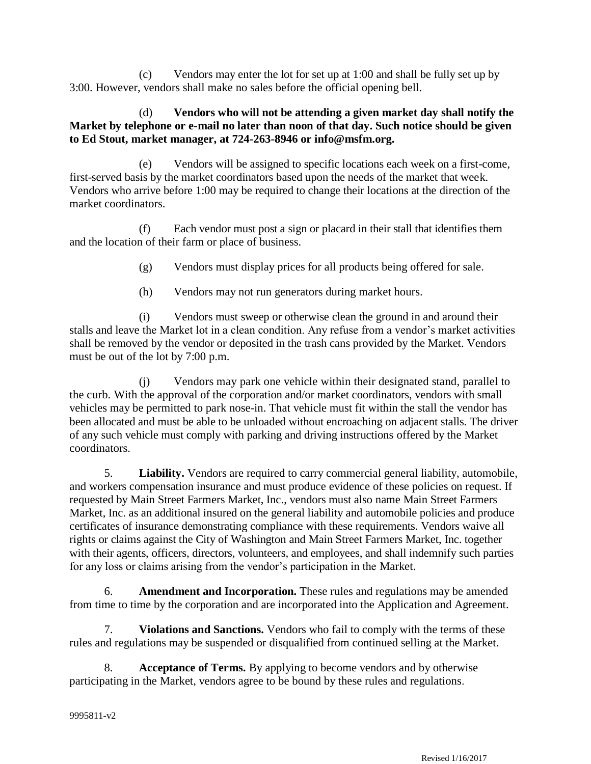(c) Vendors may enter the lot for set up at 1:00 and shall be fully set up by 3:00. However, vendors shall make no sales before the official opening bell.

#### (d) **Vendors who will not be attending a given market day shall notify the Market by telephone or e-mail no later than noon of that day. Such notice should be given to Ed Stout, market manager, at 724-263-8946 or info@msfm.org.**

(e) Vendors will be assigned to specific locations each week on a first-come, first-served basis by the market coordinators based upon the needs of the market that week. Vendors who arrive before 1:00 may be required to change their locations at the direction of the market coordinators.

(f) Each vendor must post a sign or placard in their stall that identifies them and the location of their farm or place of business.

(g) Vendors must display prices for all products being offered for sale.

(h) Vendors may not run generators during market hours.

(i) Vendors must sweep or otherwise clean the ground in and around their stalls and leave the Market lot in a clean condition. Any refuse from a vendor's market activities shall be removed by the vendor or deposited in the trash cans provided by the Market. Vendors must be out of the lot by 7:00 p.m.

(j) Vendors may park one vehicle within their designated stand, parallel to the curb. With the approval of the corporation and/or market coordinators, vendors with small vehicles may be permitted to park nose-in. That vehicle must fit within the stall the vendor has been allocated and must be able to be unloaded without encroaching on adjacent stalls. The driver of any such vehicle must comply with parking and driving instructions offered by the Market coordinators.

5. **Liability.** Vendors are required to carry commercial general liability, automobile, and workers compensation insurance and must produce evidence of these policies on request. If requested by Main Street Farmers Market, Inc., vendors must also name Main Street Farmers Market, Inc. as an additional insured on the general liability and automobile policies and produce certificates of insurance demonstrating compliance with these requirements. Vendors waive all rights or claims against the City of Washington and Main Street Farmers Market, Inc. together with their agents, officers, directors, volunteers, and employees, and shall indemnify such parties for any loss or claims arising from the vendor's participation in the Market.

6. **Amendment and Incorporation.** These rules and regulations may be amended from time to time by the corporation and are incorporated into the Application and Agreement.

7. **Violations and Sanctions.** Vendors who fail to comply with the terms of these rules and regulations may be suspended or disqualified from continued selling at the Market.

8. **Acceptance of Terms.** By applying to become vendors and by otherwise participating in the Market, vendors agree to be bound by these rules and regulations.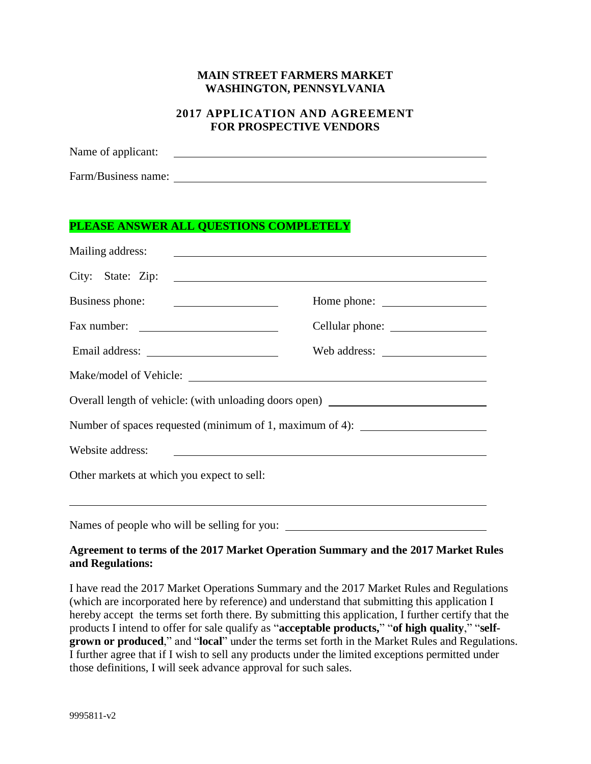#### **MAIN STREET FARMERS MARKET WASHINGTON, PENNSYLVANIA**

#### **2017 APPLICATION AND AGREEMENT FOR PROSPECTIVE VENDORS**

Name of applicant:

Farm/Business name:

### **PLEASE ANSWER ALL QUESTIONS COMPLETELY**

| Mailing address:                                                                                                                          | <u> 1989 - Johann John Stone, mars and deutscher Stone († 1989)</u> |  |
|-------------------------------------------------------------------------------------------------------------------------------------------|---------------------------------------------------------------------|--|
|                                                                                                                                           |                                                                     |  |
| Business phone:                                                                                                                           | Home phone:                                                         |  |
| Fax number:                                                                                                                               |                                                                     |  |
|                                                                                                                                           |                                                                     |  |
|                                                                                                                                           |                                                                     |  |
| Overall length of vehicle: (with unloading doors open) _________________________                                                          |                                                                     |  |
| Number of spaces requested (minimum of 1, maximum of 4): _______________________                                                          |                                                                     |  |
| Website address:<br><u> 1980 - Johann Stoff, deutscher Stoff, der Stoff, der Stoff, der Stoff, der Stoff, der Stoff, der Stoff, der S</u> |                                                                     |  |
| Other markets at which you expect to sell:                                                                                                |                                                                     |  |
|                                                                                                                                           |                                                                     |  |
|                                                                                                                                           |                                                                     |  |

#### **Agreement to terms of the 2017 Market Operation Summary and the 2017 Market Rules and Regulations:**

I have read the 2017 Market Operations Summary and the 2017 Market Rules and Regulations (which are incorporated here by reference) and understand that submitting this application I hereby accept the terms set forth there. By submitting this application, I further certify that the products I intend to offer for sale qualify as "**acceptable products,**" "**of high quality**," "**selfgrown or produced**," and "**local**" under the terms set forth in the Market Rules and Regulations. I further agree that if I wish to sell any products under the limited exceptions permitted under those definitions, I will seek advance approval for such sales.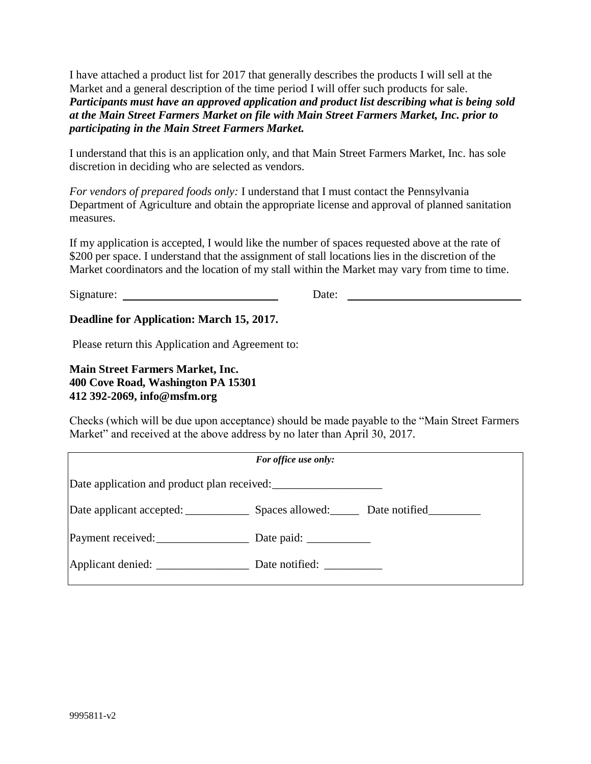I have attached a product list for 2017 that generally describes the products I will sell at the Market and a general description of the time period I will offer such products for sale. *Participants must have an approved application and product list describing what is being sold at the Main Street Farmers Market on file with Main Street Farmers Market, Inc. prior to participating in the Main Street Farmers Market.*

I understand that this is an application only, and that Main Street Farmers Market, Inc. has sole discretion in deciding who are selected as vendors.

*For vendors of prepared foods only:* I understand that I must contact the Pennsylvania Department of Agriculture and obtain the appropriate license and approval of planned sanitation measures.

If my application is accepted, I would like the number of spaces requested above at the rate of \$200 per space. I understand that the assignment of stall locations lies in the discretion of the Market coordinators and the location of my stall within the Market may vary from time to time.

Signature: Date:

#### **Deadline for Application: March 15, 2017.**

Please return this Application and Agreement to:

**Main Street Farmers Market, Inc. 400 Cove Road, Washington PA 15301 412 392-2069, info@msfm.org**

Checks (which will be due upon acceptance) should be made payable to the "Main Street Farmers Market" and received at the above address by no later than April 30, 2017.

|                   | For office use only:                                   |  |
|-------------------|--------------------------------------------------------|--|
|                   |                                                        |  |
|                   | Date applicant accepted: Spaces allowed: Date notified |  |
| Payment received: |                                                        |  |
|                   | Date notified:                                         |  |